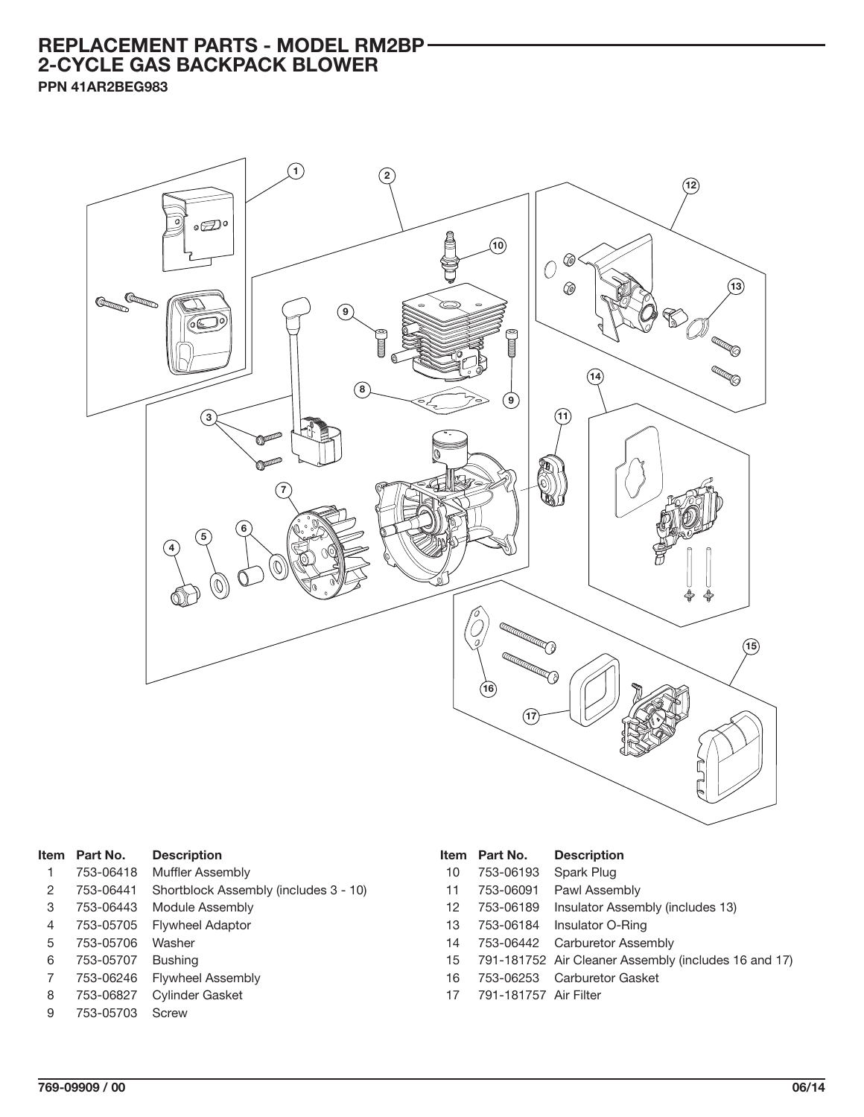## **REPLACEMENT PARTS - MODEL RM2BP 2-CYCLE GAS BACKPACK BLOWER**

**PPN 41AR2BEG983**



| <b>Item</b> | Part No.  | <b>Description</b>                    |
|-------------|-----------|---------------------------------------|
| 1           | 753-06418 | Muffler Assembly                      |
| 2           | 753-06441 | Shortblock Assembly (includes 3 - 10) |
| 3           | 753-06443 | Module Assembly                       |
| 4           | 753-05705 | <b>Flywheel Adaptor</b>               |
| 5           | 753-05706 | Washer                                |
| 6           | 753-05707 | <b>Bushing</b>                        |
| 7           | 753-06246 | <b>Flywheel Assembly</b>              |
| 8           | 753-06827 | <b>Cylinder Gasket</b>                |
| 9           | 753-05703 | Screw                                 |

|    | Item Part No. | <b>Description</b> |  |  |
|----|---------------|--------------------|--|--|
| 10 | 753-06193     | Spark Plug         |  |  |
| 11 | 753-06091     | Pawl Assembly      |  |  |

- 12 753-06189 Insulator Assembly (includes 13)
- 13 753-06184 Insulator O-Ring
- 14 753-06442 Carburetor Assembly
- 15 791-181752 Air Cleaner Assembly (includes 16 and 17)
- 16 753-06253 Carburetor Gasket
- 17 791-181757 Air Filter